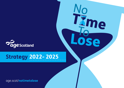age.scot/**notimetolose**





# **Strategy** 2022- 2025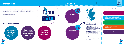

# Our vision

**We** inspire older people by encouraging them to realise their opportunities and overcome the challenges of later life

We **involve** older people by connecting and engaging with them through our networks and enabling them to participate in groups and their communities

We **empower** older people by helping them obtain valuable and accessible information and advice to help them understand their rights, make informed choices and access appropriate support

We **influence** others by promoting understanding of older people's rights and interests, and shape and build support for reforms to the law, policy and practice



# Introduction

## **Age Scotland is the national charity for older people.**

We work to improve the lives of people over the age of 50 and promote their rights and interests. We want Scotland to be the best place in the world to grow older.

Together, we can make that happen.

Our refreshed strategy sets out eight key ambitions we want to achieve over the next three years.

## We have three strategic aims:

## Our vision

is a Scotland which is the best place in the world to grow older

## Our mission

 is to **inspire**, **involve** and **empowe**r older people in Scotland, and **influence** others, so that people enjoy better later lives

**Campaigning and influencing**

**Providing information, advice and friendship - including our free confidential national helpline, information guides and friendship line**

**Supporting and enabling older people's community groups**

**Promoting age friendly workplaces and communities** 

**Delivering health and wellbeing programmes**

*We help older people be as well as they can be*

*We promote positive views of ageing and later life*

*We tackle loneliness and isolation*

TXme

## Our activities include: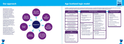

# Our approach

Older people and our teams delivering services on the ground are at the heart of everything we do. We wanted to ensure that our strategy was informed by the experiences of the people we support and driven by data. We embarked on a journey of discovery to truly understand the challenges older people are facing in Scotland and the issues that are important to them.

Our Big Survey consulted with over 3,500 older people, we spoke with Older People's Champions across Scotland's local authorities and we engaged with the Scottish Ethnic Minority Older People Forum, our regional ambassadors, trustees and member groups.

We were able to draw on the experience of our teams across the charity who engage with older people day in day out during two interactive two-day staff engagement sessions. This included data and insight from our helpline, training, policy, dementia and community development teams.



**Local authority Older People's Champions**



**In addition, recognising the need for robust monitoring and evaluation processes, we worked with Evaluation Support Scotland to strengthen this across the charity. We have created a logic model that demonstrates how our services and activities contribute to our long-term organisational outcomes:**

# Age Scotland logic model

Helpline for older people and families

#### **Organisational outcomes** We contribute to these

### **Short-term outcomes**

We typically measure these types of things to show our contribution

**Type of activities** we deliver across Age Scotland

Information, advice and resources

Community development

Training and support for employers and employees

Policy influencing activities/ gathering evidence

Health and wellbeing programmes and training

- feel better about themselves
- are better able to access the support they need
- participate more (community/ physical activities)
- feel more supported
- are better able to plan for the future
- are more confident to participate with ideas/skills
- are more financially and materially secure
- feel they have more of a voice
- are able to be better supported by family and carers

#### **We:**

- better understand the issues facing older people (rights, needs, barriers)
- **•** are better able to identify people who need support
- better meet older people's needs
- create policy that better reflects the needs of older people

**Who** we do these activities with

Older people

Families, carers, friends

**Employers** 

People who deliver services

Other community groups

Policy makers, decision makers

- better understand the issues for older people
- reach more people who need our support
- are seen as a credible voice on older people's issues

#### **Partners:**

(services, employers, professionals, older people's groups, politicians/ decision makers)

#### **Older people:**

#### **Wider society:**

- is more aware of issues facing older people
- treats older people with respect

#### **Older people:**

- are more able to influence change
- have improved health and wellbeing
- have increased participation in society
- feel more connected
- have increased independence
- $\bullet$  are more secure
- **•** face fewer inequalities

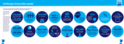

Our older population is large, diverse and growing at a faster rate than the rest of the UK.

150,000 pensioners **live in relative poverty** and more than **live in persistent poverty** 



There are more than 2 million people over the age of 50, making up 40% of the total Scottish population, and this age group is predicted to increase substantially over the coming years. This would mean that over the next two decades a quarter of the population will be aged 65 and over and there will be a 70% increase in the number of people over 75 years old.

**A quarter** of older people feel financially squeezed by bills





200,000 older people **go at least a week without seeing or hearing from anyone** 

# 100,000

older people **say they feel lonely all or most of the time**

# Over half

of older people say **the Covid-19 pandemic has made them feel lonelier** 





-------

# Challenges facing older people



34%

of older people in Scotland **feel that life is getting worse for them**

**Our research and engagement work identified key challenges older people are facing and the issues that are important to them. Our strategy seeks to address these.**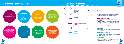**9**

# Our ambitions for 2022-25

# Our values & themes

#### **Campaign & influence**

Influence policy and practice by amplifying the voices of our older people

#### **Provide information & advice**

Improve health and wellbeing outcomes for older people

Grow our services to ensure older people know who to turn to and have access to impartial and reliable information and advice

> Be the best employer we can, where staff and volunteers feel valued and supported

#### **Friendship**





Expand our friendship services to ensure all older people in Scotland have someone to talk to

#### **Promote age-friendly workplaces & communities**

Create more age-inclusive communities and working environments where older people are valued, and their needs are increasingly met

#### **Health & wellbeing**

#### **People & culture**

## Dementia

Central to our strategy, is the vital work that we do with people affected by dementia. With the number of people in Scotland living with dementia increasing, we believe they are in the best position to influence change. Bringing people with lived experience together, we will raise awareness, improve policy and practice and support the growth of dementia friendly communities.

## Diversity and inclusion

Older people are not a homogenous group. Our work is as diverse as those we support.

To broaden our support by 2025, we are committed to engaging with older ethnic minority and LGBTQ+ communities, allowing us to expand our reach and work in partnership with other organisations to understand and address the specific inequalities they face.

Equally, we are committed to providing an inclusive culture for our teams and volunteers.

## **Technology**

We will embrace technology across the charity and explore innovative ways to deliver our services.

## Working in partnership

We know that we can't deliver our ambitions on our own and will continue to build long-term, mutually beneficial partnerships with organisations who share our goals to help older people in Scotland.

## Environment

We are committed to sustainable, ethical and environmental practices. We will operate our charity in a way that strives to better protect our environment for today and future generations.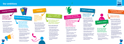

**Influence policy and practice by amplifying the voices of our older people**

#### **How we will achieve this:**

• Use lived experience

- Gather data and insight from our services to inform our influencing work
- Consult widely with Scottish Government, public bodies, third sector interfaces and relevant organisations to ensure matters that are important to older people are highlighted

**Grow our services to ensure older people know who to turn to and have access to impartial and reliable information and advice** 

#### **How we will achieve this:**

- Work in partnership to increase referrals to our services
- Collaborate with organisations to ensure high quality information and signposting to other relevant services
- Review our audiences and the channels in which we deliver information and advice
- Explore the use of technology to ensure we stay relevant

**Expand our friendship services to ensure all older people in Scotland have someone to talk to**

#### **How we will achieve this:**

- Work in partnership to increase referrals to the friendship line and community connecting
- Explore new innovative ways to deliver friendship, for example friendship circles
- Explore the use of technology to ensure we stay relevant





# **Friendship**

**Provide information & advice**

**Build resilience, capacity and sustainability of older people's community groups across Scotland**

#### **How we will achieve this:**

- Grant programmes with a focus relevant to need
- Support and enable the safe return of older people's groups post lockdown restrictions
- Develop new relationships with older people who we may not have engaged in the past and who are currently under-represented
- Grow membership using a community development approach
- Enhance our profile and build advocacy with key audiences
- Bring our work and the needs of older people to life and demonstrate impact
- Invest in the promotion of our services with a focus on lonely and isolated older people and those living in poverty
- Diversify and grow fundraising income with a focus on increasing unrestricted income from individual giving, corporate, and community fundraising and charitable trusts
- Equip and enable staff to become ambassadors for Age **Scotland**

## **Support & enable older people's communities**

# **Campaign & influence**



**Create more age-inclusive communities and working environments where older people are valued, and their needs increasingly met**

# **Page** Scotland **People & culture**

#### **How we will achieve this:**

- Deliver age-inclusive workshops to companies and community groups
- Support older workers in their transition to retirement
- Provide consultancy support to organisations to accelerate their achievement of age inclusion
- Sustain our dementia training offering
- Continue the legacy of Life Changes Trust

#### **Improve health and wellbeing outcomes for older people**

#### **How we will achieve this:**

- Create and deliver activities, programmes, campaigns and projects that promote healthy active ageing
- Develop evidence-based messages by collaborating with partner organisations and a panel of 'experts'
- Adopt an inclusive approach and develop a programme of tailored wellbeing support interventions
- Influence policy and practice at a local and national level
- Continue to grow support for the older people's sport and social club model and secure funding for the project
- Work in partnership with Luminate, Scotland's creative ageing organisation



**Be the best employer we can, where staff and volunteers feel valued and supported**

#### **How we will achieve this:**

- Adopt the Scottish Government's Fair Work Convention
- Foster an inclusive, diverse, supportive and flexible working environment

#### **Build our brand and boldly ask for support**

#### **How we will achieve this:**

## **Promote age-friendly workplaces & communities**

# **Health & wellbeing**

## **Fundraising, marketing & communications**

# Our ambitions

**10**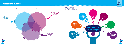**13**

# Measuring success

To achieve all our ambitions for older people in Scotland will require strong governance and leadership, a flexible, diverse, inclusive and supportive culture, alongside a sustainable financial model.





A sustainable financial model A flexible, diverse, inclusive and supportive culture

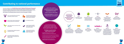Our work contributes to the **Scottish Government's National Performance Framework**  which aims to create a more successful country, give opportunities to all people living in Scotland, increase the wellbeing of people living in Scotland, create sustainable and inclusive growth, reduce inequalities and give equal importance to economic, environmental and social progress.

#### **We contribute to the following national outcomes to ensure that people in Scotland:**





# Contributing to national performance

live in communities that are inclusive, empowered, resilient and safe





grow up loved, safe and respected so that they realise their full potential



value, enjoy, protect and enhance their environment



are well educated, skilled and able to contribute to society



are creative and their vibrant and diverse cultures are expressed and enjoyed widely



have thriving and innovative businesses, with quality jobs and fair work for everyone



are healthy and active

respect, protect and fulfil human rights and live free

from discrimination

tackle poverty by sharing opportunities, wealth and power more equally



**Goal 1**: End poverty in all its forms everywhere



**Goal 2:** End hunger, achieve food security and improved nutrition and promote sustainable agriculture







**Goal 3:** Ensure healthy lives and promote wellbeing for all at all ages



**Goal 4:** Ensure inclusive and equitable quality education and promote lifelong learning opportunities for all



**Goal 5:** Achieve gender equality and empower all women and girls

**Goal 8:** Promote sustained, inclusive and sustainable economic growth, full and productive employment and decent work for all

**Goal 9:**  Build resilient infrastructure, promote inclusive and sustainable industrialization and foster innovation

**Goal 10:** Reduce inequality within and among countries





**Goal 11:** Make cities and human settlements inclusive, safe, resilient and sustainable



**Goal 16:**  Promote peaceful and inclusive societies for sustainable development, provide access to justice for all and build effective, accountable and inclusive institutions at all levels



**Goal 17:** Strengthen the means of implementation and revitalize the global partnership for sustainable development

We also make a significant contribution to the outcomes of specific **Scottish Government's stategic frameworks for action:**

**• A Fairer Scotland for Older People**

**• A Connected Scotland:** our strategy for tackling social isolation and loneliness and building stronger social connections

The Scottish Government has identified key public health priorities and believes that in a vibrant, modern Scotland it should be possible for everyone to be as healthy as they can be - we agree.

#### **We align our work to these public health priorities:**

- 
- 
- 
- 

• A Scotland where we live in vibrant, healthy and safe places and communities

• A Scotland where we have good mental wellbeing

• A Scotland where we have a sustainable, inclusive economy with equality of outcomes for all

• A Scotland where we eat well, have a healthy weight and are physically active

We embrace the **United Nations Sustainable Development Goals and work towards these goals:**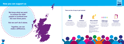



**We know what we want to achieve for older people in Scotland over the next three years.** 

**But we can't do it alone.**

**Together, we can make a difference.**

## How you can support us

#### Volunteer

We have a variety of volunteering opportunities from our friendship line to our age-inclusive workshops and everything in between.



#### Fundraise

Get active and help raise vital funds to support our work. Participants can take part in all kinds of challenges such as sky diving, the Edinburgh Marathon, knitting small hats for the Big Knit and much more.



## Make a donation

No matter how small or large, donations make a massive difference.

#### Sign up to our newsletter

Our regular newsletters by email contain details of our campaigns, services and how you can support our work.

#### Follow us on social media

Our social media channels are a great way to keep up to take with our work and issues that affect older people.



## **There are lots of ways to get involved:**



## **Online:** www.age.scot/donate



**To donate £5 TEXT:** AGESCOTGIVE *Texts will cost the donation amount plus one standard network rate message, and you'll be opting into hearing more from us. If you would like to donate but don't wish to hear more from us, please text AGESCOTGIVENOINFO instead.*

**Post:** Freepost RSBS-KEHC-GBBC, Age Scotland, Edinburgh, EH9 1PR